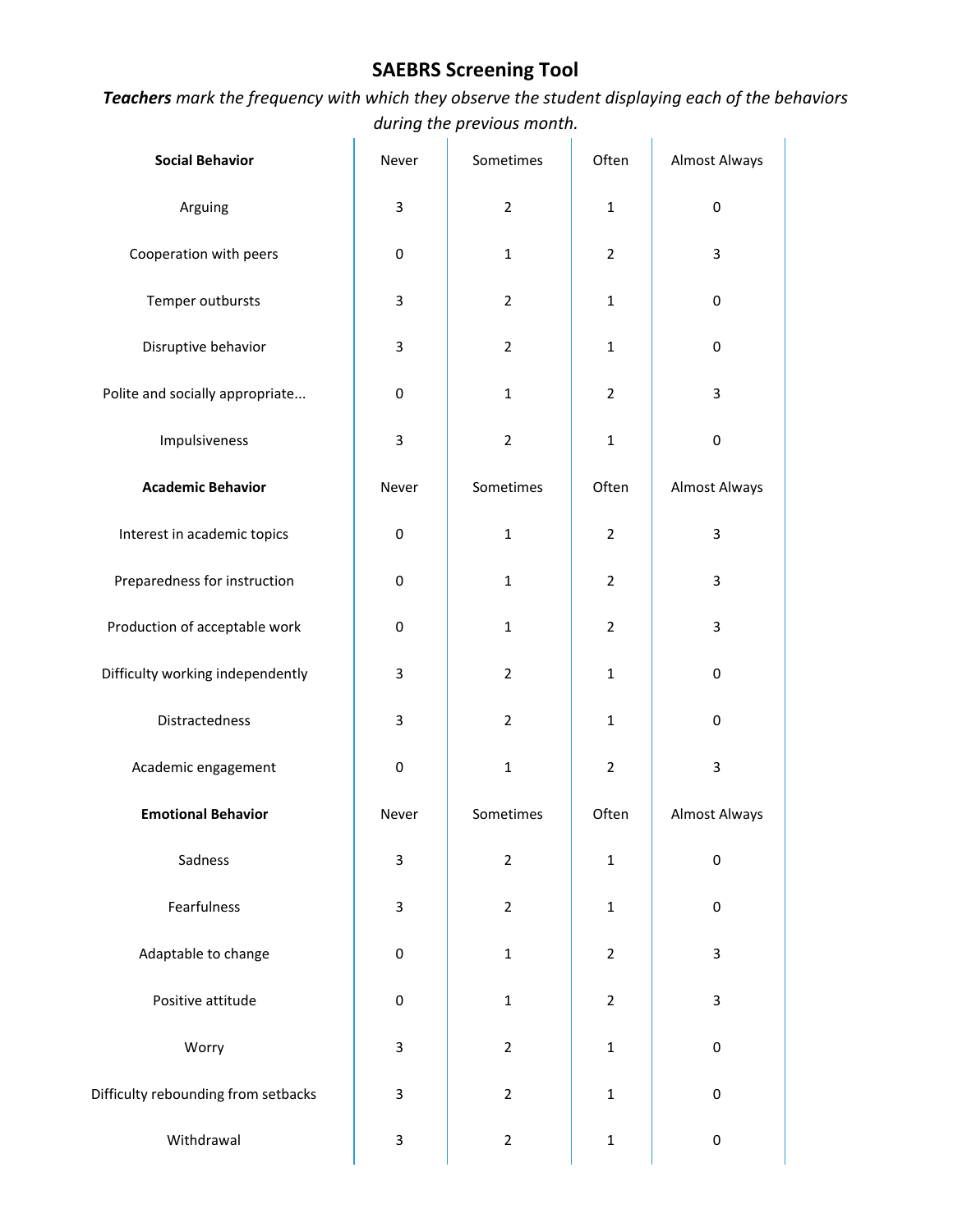## **SAEBRS Screening Tool**

*Teachers mark the frequency with which they observe the student displaying each of the behaviors during the previous month.*  $\overline{1}$ 

| <b>Social Behavior</b>              | Never            | Sometimes      | Often          | <b>Almost Always</b> |
|-------------------------------------|------------------|----------------|----------------|----------------------|
| Arguing                             | 3                | $\overline{2}$ | $\mathbf{1}$   | $\pmb{0}$            |
| Cooperation with peers              | $\boldsymbol{0}$ | $\mathbf{1}$   | $\overline{2}$ | 3                    |
| Temper outbursts                    | 3                | $\overline{2}$ | $\mathbf{1}$   | 0                    |
| Disruptive behavior                 | 3                | $\overline{2}$ | $\mathbf{1}$   | $\pmb{0}$            |
| Polite and socially appropriate     | $\pmb{0}$        | $\mathbf{1}$   | $\overline{2}$ | 3                    |
| Impulsiveness                       | 3                | $\overline{2}$ | $\mathbf{1}$   | $\pmb{0}$            |
| <b>Academic Behavior</b>            | Never            | Sometimes      | Often          | <b>Almost Always</b> |
| Interest in academic topics         | $\boldsymbol{0}$ | $\mathbf{1}$   | $\overline{2}$ | 3                    |
| Preparedness for instruction        | $\boldsymbol{0}$ | $\mathbf{1}$   | $\overline{2}$ | 3                    |
| Production of acceptable work       | $\boldsymbol{0}$ | $\mathbf{1}$   | $\overline{2}$ | 3                    |
| Difficulty working independently    | 3                | $\overline{2}$ | $\mathbf{1}$   | 0                    |
| Distractedness                      | 3                | $\overline{2}$ | $\mathbf{1}$   | 0                    |
| Academic engagement                 | $\boldsymbol{0}$ | $\mathbf{1}$   | $\overline{2}$ | $\mathsf 3$          |
| <b>Emotional Behavior</b>           | Never            | Sometimes      | Often          | <b>Almost Always</b> |
| Sadness                             | 3                | $\mathbf 2$    | $\mathbf 1$    | $\pmb{0}$            |
| Fearfulness                         | 3                | $\overline{2}$ | $\mathbf 1$    | 0                    |
| Adaptable to change                 | $\boldsymbol{0}$ | $\mathbf 1$    | $\overline{2}$ | 3                    |
| Positive attitude                   | $\boldsymbol{0}$ | $\mathbf 1$    | $\overline{2}$ | $\mathsf 3$          |
| Worry                               | 3                | $\overline{2}$ | $\mathbf 1$    | $\pmb{0}$            |
| Difficulty rebounding from setbacks | 3                | $\overline{2}$ | $\mathbf 1$    | 0                    |
| Withdrawal                          | 3                | $\overline{2}$ | $\mathbf 1$    | $\pmb{0}$            |